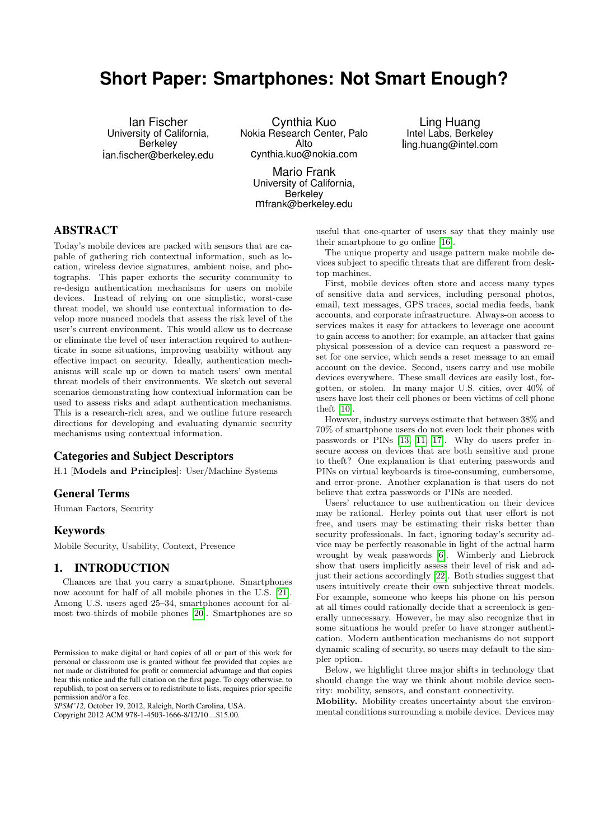# **Short Paper: Smartphones: Not Smart Enough?**

Ian Fischer University of California, Berkeley ian.fischer@berkeley.edu

Cynthia Kuo Nokia Research Center, Palo Alto cynthia.kuo@nokia.com

Mario Frank University of California, **Berkeley** mfrank@berkeley.edu

Ling Huang Intel Labs, Berkeley ling.huang@intel.com

# ABSTRACT

Today's mobile devices are packed with sensors that are capable of gathering rich contextual information, such as location, wireless device signatures, ambient noise, and photographs. This paper exhorts the security community to re-design authentication mechanisms for users on mobile devices. Instead of relying on one simplistic, worst-case threat model, we should use contextual information to develop more nuanced models that assess the risk level of the user's current environment. This would allow us to decrease or eliminate the level of user interaction required to authenticate in some situations, improving usability without any effective impact on security. Ideally, authentication mechanisms will scale up or down to match users' own mental threat models of their environments. We sketch out several scenarios demonstrating how contextual information can be used to assess risks and adapt authentication mechanisms. This is a research-rich area, and we outline future research directions for developing and evaluating dynamic security mechanisms using contextual information.

## Categories and Subject Descriptors

H.1 [Models and Principles]: User/Machine Systems

#### General Terms

Human Factors, Security

#### Keywords

Mobile Security, Usability, Context, Presence

#### 1. INTRODUCTION

Chances are that you carry a smartphone. Smartphones now account for half of all mobile phones in the U.S. [\[21\]](#page-5-0). Among U.S. users aged 25–34, smartphones account for almost two-thirds of mobile phones [\[20\]](#page-5-1). Smartphones are so

*SPSM'12,* October 19, 2012, Raleigh, North Carolina, USA. Copyright 2012 ACM 978-1-4503-1666-8/12/10 ...\$15.00.

useful that one-quarter of users say that they mainly use their smartphone to go online [\[16\]](#page-5-2).

The unique property and usage pattern make mobile devices subject to specific threats that are different from desktop machines.

First, mobile devices often store and access many types of sensitive data and services, including personal photos, email, text messages, GPS traces, social media feeds, bank accounts, and corporate infrastructure. Always-on access to services makes it easy for attackers to leverage one account to gain access to another; for example, an attacker that gains physical possession of a device can request a password reset for one service, which sends a reset message to an email account on the device. Second, users carry and use mobile devices everywhere. These small devices are easily lost, forgotten, or stolen. In many major U.S. cities, over 40% of users have lost their cell phones or been victims of cell phone theft [\[10\]](#page-5-3).

However, industry surveys estimate that between 38% and 70% of smartphone users do not even lock their phones with passwords or PINs [\[13,](#page-5-4) [11,](#page-5-5) [17\]](#page-5-6). Why do users prefer insecure access on devices that are both sensitive and prone to theft? One explanation is that entering passwords and PINs on virtual keyboards is time-consuming, cumbersome, and error-prone. Another explanation is that users do not believe that extra passwords or PINs are needed.

Users' reluctance to use authentication on their devices may be rational. Herley points out that user effort is not free, and users may be estimating their risks better than security professionals. In fact, ignoring today's security advice may be perfectly reasonable in light of the actual harm wrought by weak passwords [\[6\]](#page-5-7). Wimberly and Liebrock show that users implicitly assess their level of risk and adjust their actions accordingly [\[22\]](#page-5-8). Both studies suggest that users intuitively create their own subjective threat models. For example, someone who keeps his phone on his person at all times could rationally decide that a screenlock is generally unnecessary. However, he may also recognize that in some situations he would prefer to have stronger authentication. Modern authentication mechanisms do not support dynamic scaling of security, so users may default to the simpler option.

Below, we highlight three major shifts in technology that should change the way we think about mobile device security: mobility, sensors, and constant connectivity.

Mobility. Mobility creates uncertainty about the environmental conditions surrounding a mobile device. Devices may

Permission to make digital or hard copies of all or part of this work for personal or classroom use is granted without fee provided that copies are not made or distributed for profit or commercial advantage and that copies bear this notice and the full citation on the first page. To copy otherwise, to republish, to post on servers or to redistribute to lists, requires prior specific permission and/or a fee.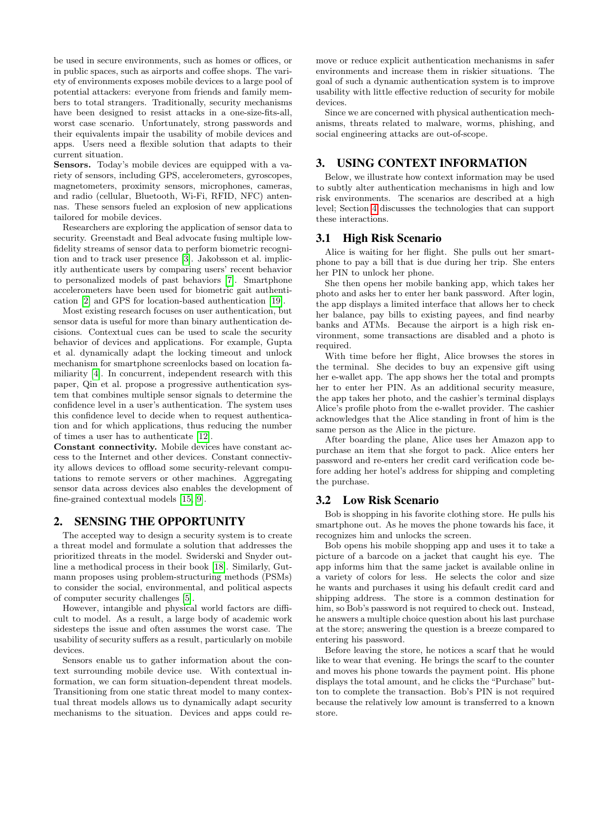be used in secure environments, such as homes or offices, or in public spaces, such as airports and coffee shops. The variety of environments exposes mobile devices to a large pool of potential attackers: everyone from friends and family members to total strangers. Traditionally, security mechanisms have been designed to resist attacks in a one-size-fits-all, worst case scenario. Unfortunately, strong passwords and their equivalents impair the usability of mobile devices and apps. Users need a flexible solution that adapts to their current situation.

Sensors. Today's mobile devices are equipped with a variety of sensors, including GPS, accelerometers, gyroscopes, magnetometers, proximity sensors, microphones, cameras, and radio (cellular, Bluetooth, Wi-Fi, RFID, NFC) antennas. These sensors fueled an explosion of new applications tailored for mobile devices.

Researchers are exploring the application of sensor data to security. Greenstadt and Beal advocate fusing multiple lowfidelity streams of sensor data to perform biometric recognition and to track user presence [\[3\]](#page-5-9). Jakobsson et al. implicitly authenticate users by comparing users' recent behavior to personalized models of past behaviors [\[7\]](#page-5-10). Smartphone accelerometers have been used for biometric gait authentication [\[2\]](#page-4-0) and GPS for location-based authentication [\[19\]](#page-5-11).

Most existing research focuses on user authentication, but sensor data is useful for more than binary authentication decisions. Contextual cues can be used to scale the security behavior of devices and applications. For example, Gupta et al. dynamically adapt the locking timeout and unlock mechanism for smartphone screenlocks based on location familiarity [\[4\]](#page-5-12). In concurrent, independent research with this paper, Qin et al. propose a progressive authentication system that combines multiple sensor signals to determine the confidence level in a user's authentication. The system uses this confidence level to decide when to request authentication and for which applications, thus reducing the number of times a user has to authenticate [\[12\]](#page-5-13).

Constant connectivity. Mobile devices have constant access to the Internet and other devices. Constant connectivity allows devices to offload some security-relevant computations to remote servers or other machines. Aggregating sensor data across devices also enables the development of fine-grained contextual models [\[15,](#page-5-14) [9\]](#page-5-15).

## 2. SENSING THE OPPORTUNITY

The accepted way to design a security system is to create a threat model and formulate a solution that addresses the prioritized threats in the model. Swiderski and Snyder outline a methodical process in their book [\[18\]](#page-5-16). Similarly, Gutmann proposes using problem-structuring methods (PSMs) to consider the social, environmental, and political aspects of computer security challenges [\[5\]](#page-5-17).

However, intangible and physical world factors are difficult to model. As a result, a large body of academic work sidesteps the issue and often assumes the worst case. The usability of security suffers as a result, particularly on mobile devices.

Sensors enable us to gather information about the context surrounding mobile device use. With contextual information, we can form situation-dependent threat models. Transitioning from one static threat model to many contextual threat models allows us to dynamically adapt security mechanisms to the situation. Devices and apps could re-

move or reduce explicit authentication mechanisms in safer environments and increase them in riskier situations. The goal of such a dynamic authentication system is to improve usability with little effective reduction of security for mobile devices.

Since we are concerned with physical authentication mechanisms, threats related to malware, worms, phishing, and social engineering attacks are out-of-scope.

#### 3. USING CONTEXT INFORMATION

Below, we illustrate how context information may be used to subtly alter authentication mechanisms in high and low risk environments. The scenarios are described at a high level; Section [4](#page-2-0) discusses the technologies that can support these interactions.

#### <span id="page-1-0"></span>3.1 High Risk Scenario

Alice is waiting for her flight. She pulls out her smartphone to pay a bill that is due during her trip. She enters her PIN to unlock her phone.

She then opens her mobile banking app, which takes her photo and asks her to enter her bank password. After login, the app displays a limited interface that allows her to check her balance, pay bills to existing payees, and find nearby banks and ATMs. Because the airport is a high risk environment, some transactions are disabled and a photo is required.

With time before her flight, Alice browses the stores in the terminal. She decides to buy an expensive gift using her e-wallet app. The app shows her the total and prompts her to enter her PIN. As an additional security measure, the app takes her photo, and the cashier's terminal displays Alice's profile photo from the e-wallet provider. The cashier acknowledges that the Alice standing in front of him is the same person as the Alice in the picture.

After boarding the plane, Alice uses her Amazon app to purchase an item that she forgot to pack. Alice enters her password and re-enters her credit card verification code before adding her hotel's address for shipping and completing the purchase.

#### <span id="page-1-1"></span>3.2 Low Risk Scenario

Bob is shopping in his favorite clothing store. He pulls his smartphone out. As he moves the phone towards his face, it recognizes him and unlocks the screen.

Bob opens his mobile shopping app and uses it to take a picture of a barcode on a jacket that caught his eye. The app informs him that the same jacket is available online in a variety of colors for less. He selects the color and size he wants and purchases it using his default credit card and shipping address. The store is a common destination for him, so Bob's password is not required to check out. Instead, he answers a multiple choice question about his last purchase at the store; answering the question is a breeze compared to entering his password.

Before leaving the store, he notices a scarf that he would like to wear that evening. He brings the scarf to the counter and moves his phone towards the payment point. His phone displays the total amount, and he clicks the "Purchase" button to complete the transaction. Bob's PIN is not required because the relatively low amount is transferred to a known store.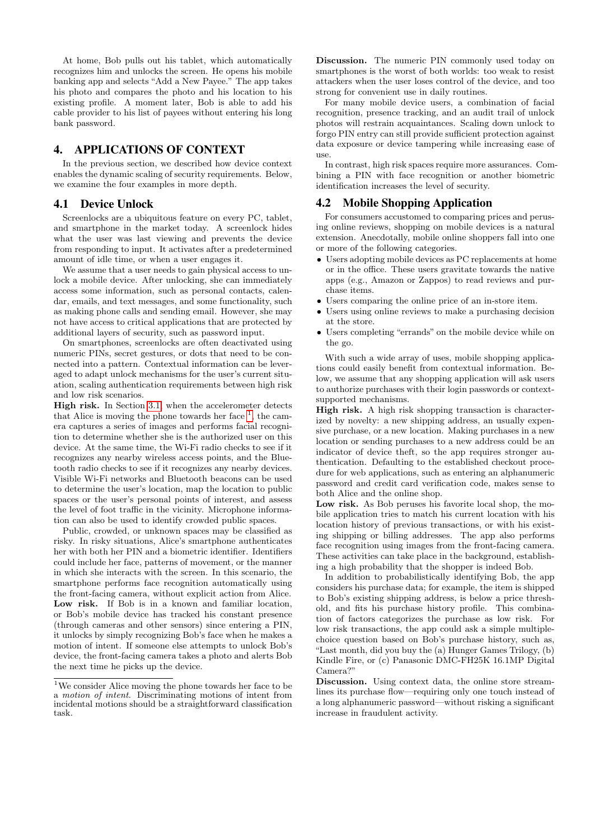At home, Bob pulls out his tablet, which automatically recognizes him and unlocks the screen. He opens his mobile banking app and selects "Add a New Payee." The app takes his photo and compares the photo and his location to his existing profile. A moment later, Bob is able to add his cable provider to his list of payees without entering his long bank password.

### <span id="page-2-0"></span>4. APPLICATIONS OF CONTEXT

In the previous section, we described how device context enables the dynamic scaling of security requirements. Below, we examine the four examples in more depth.

## 4.1 Device Unlock

Screenlocks are a ubiquitous feature on every PC, tablet, and smartphone in the market today. A screenlock hides what the user was last viewing and prevents the device from responding to input. It activates after a predetermined amount of idle time, or when a user engages it.

We assume that a user needs to gain physical access to unlock a mobile device. After unlocking, she can immediately access some information, such as personal contacts, calendar, emails, and text messages, and some functionality, such as making phone calls and sending email. However, she may not have access to critical applications that are protected by additional layers of security, such as password input.

On smartphones, screenlocks are often deactivated using numeric PINs, secret gestures, or dots that need to be connected into a pattern. Contextual information can be leveraged to adapt unlock mechanisms for the user's current situation, scaling authentication requirements between high risk and low risk scenarios.

High risk. In Section [3.1,](#page-1-0) when the accelerometer detects that Alice is moving the phone towards her face  $<sup>1</sup>$  $<sup>1</sup>$  $<sup>1</sup>$ , the cam-</sup> era captures a series of images and performs facial recognition to determine whether she is the authorized user on this device. At the same time, the Wi-Fi radio checks to see if it recognizes any nearby wireless access points, and the Bluetooth radio checks to see if it recognizes any nearby devices. Visible Wi-Fi networks and Bluetooth beacons can be used to determine the user's location, map the location to public spaces or the user's personal points of interest, and assess the level of foot traffic in the vicinity. Microphone information can also be used to identify crowded public spaces.

Public, crowded, or unknown spaces may be classified as risky. In risky situations, Alice's smartphone authenticates her with both her PIN and a biometric identifier. Identifiers could include her face, patterns of movement, or the manner in which she interacts with the screen. In this scenario, the smartphone performs face recognition automatically using the front-facing camera, without explicit action from Alice. Low risk. If Bob is in a known and familiar location, or Bob's mobile device has tracked his constant presence (through cameras and other sensors) since entering a PIN, it unlocks by simply recognizing Bob's face when he makes a motion of intent. If someone else attempts to unlock Bob's device, the front-facing camera takes a photo and alerts Bob the next time he picks up the device.

Discussion. The numeric PIN commonly used today on smartphones is the worst of both worlds: too weak to resist attackers when the user loses control of the device, and too strong for convenient use in daily routines.

For many mobile device users, a combination of facial recognition, presence tracking, and an audit trail of unlock photos will restrain acquaintances. Scaling down unlock to forgo PIN entry can still provide sufficient protection against data exposure or device tampering while increasing ease of use.

In contrast, high risk spaces require more assurances. Combining a PIN with face recognition or another biometric identification increases the level of security.

# 4.2 Mobile Shopping Application

For consumers accustomed to comparing prices and perusing online reviews, shopping on mobile devices is a natural extension. Anecdotally, mobile online shoppers fall into one or more of the following categories.

- Users adopting mobile devices as PC replacements at home or in the office. These users gravitate towards the native apps (e.g., Amazon or Zappos) to read reviews and purchase items.
- Users comparing the online price of an in-store item.
- Users using online reviews to make a purchasing decision at the store.
- Users completing "errands" on the mobile device while on the go.

With such a wide array of uses, mobile shopping applications could easily benefit from contextual information. Below, we assume that any shopping application will ask users to authorize purchases with their login passwords or contextsupported mechanisms.

High risk. A high risk shopping transaction is characterized by novelty: a new shipping address, an usually expensive purchase, or a new location. Making purchases in a new location or sending purchases to a new address could be an indicator of device theft, so the app requires stronger authentication. Defaulting to the established checkout procedure for web applications, such as entering an alphanumeric password and credit card verification code, makes sense to both Alice and the online shop.

Low risk. As Bob peruses his favorite local shop, the mobile application tries to match his current location with his location history of previous transactions, or with his existing shipping or billing addresses. The app also performs face recognition using images from the front-facing camera. These activities can take place in the background, establishing a high probability that the shopper is indeed Bob.

In addition to probabilistically identifying Bob, the app considers his purchase data; for example, the item is shipped to Bob's existing shipping address, is below a price threshold, and fits his purchase history profile. This combination of factors categorizes the purchase as low risk. For low risk transactions, the app could ask a simple multiplechoice question based on Bob's purchase history, such as, "Last month, did you buy the (a) Hunger Games Trilogy, (b) Kindle Fire, or (c) Panasonic DMC-FH25K 16.1MP Digital Camera?"

Discussion. Using context data, the online store streamlines its purchase flow—requiring only one touch instead of a long alphanumeric password—without risking a significant increase in fraudulent activity.

<span id="page-2-1"></span><sup>1</sup>We consider Alice moving the phone towards her face to be a motion of intent. Discriminating motions of intent from incidental motions should be a straightforward classification task.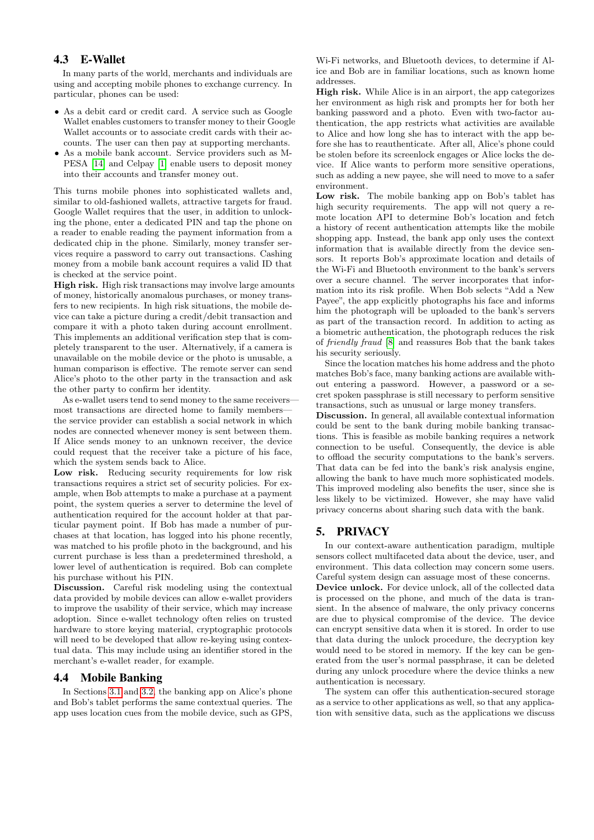# 4.3 E-Wallet

In many parts of the world, merchants and individuals are using and accepting mobile phones to exchange currency. In particular, phones can be used:

- As a debit card or credit card. A service such as Google Wallet enables customers to transfer money to their Google Wallet accounts or to associate credit cards with their accounts. The user can then pay at supporting merchants.
- As a mobile bank account. Service providers such as M-PESA [\[14\]](#page-5-18) and Celpay [\[1\]](#page-4-1) enable users to deposit money into their accounts and transfer money out.

This turns mobile phones into sophisticated wallets and, similar to old-fashioned wallets, attractive targets for fraud. Google Wallet requires that the user, in addition to unlocking the phone, enter a dedicated PIN and tap the phone on a reader to enable reading the payment information from a dedicated chip in the phone. Similarly, money transfer services require a password to carry out transactions. Cashing money from a mobile bank account requires a valid ID that is checked at the service point.

High risk. High risk transactions may involve large amounts of money, historically anomalous purchases, or money transfers to new recipients. In high risk situations, the mobile device can take a picture during a credit/debit transaction and compare it with a photo taken during account enrollment. This implements an additional verification step that is completely transparent to the user. Alternatively, if a camera is unavailable on the mobile device or the photo is unusable, a human comparison is effective. The remote server can send Alice's photo to the other party in the transaction and ask the other party to confirm her identity.

As e-wallet users tend to send money to the same receivers most transactions are directed home to family members the service provider can establish a social network in which nodes are connected whenever money is sent between them. If Alice sends money to an unknown receiver, the device could request that the receiver take a picture of his face, which the system sends back to Alice.

Low risk. Reducing security requirements for low risk transactions requires a strict set of security policies. For example, when Bob attempts to make a purchase at a payment point, the system queries a server to determine the level of authentication required for the account holder at that particular payment point. If Bob has made a number of purchases at that location, has logged into his phone recently, was matched to his profile photo in the background, and his current purchase is less than a predetermined threshold, a lower level of authentication is required. Bob can complete his purchase without his PIN.

Discussion. Careful risk modeling using the contextual data provided by mobile devices can allow e-wallet providers to improve the usability of their service, which may increase adoption. Since e-wallet technology often relies on trusted hardware to store keying material, cryptographic protocols will need to be developed that allow re-keying using contextual data. This may include using an identifier stored in the merchant's e-wallet reader, for example.

## 4.4 Mobile Banking

In Sections [3.1](#page-1-0) and [3.2,](#page-1-1) the banking app on Alice's phone and Bob's tablet performs the same contextual queries. The app uses location cues from the mobile device, such as GPS,

Wi-Fi networks, and Bluetooth devices, to determine if Alice and Bob are in familiar locations, such as known home addresses.

High risk. While Alice is in an airport, the app categorizes her environment as high risk and prompts her for both her banking password and a photo. Even with two-factor authentication, the app restricts what activities are available to Alice and how long she has to interact with the app before she has to reauthenticate. After all, Alice's phone could be stolen before its screenlock engages or Alice locks the device. If Alice wants to perform more sensitive operations, such as adding a new payee, she will need to move to a safer environment.

Low risk. The mobile banking app on Bob's tablet has high security requirements. The app will not query a remote location API to determine Bob's location and fetch a history of recent authentication attempts like the mobile shopping app. Instead, the bank app only uses the context information that is available directly from the device sensors. It reports Bob's approximate location and details of the Wi-Fi and Bluetooth environment to the bank's servers over a secure channel. The server incorporates that information into its risk profile. When Bob selects "Add a New Payee", the app explicitly photographs his face and informs him the photograph will be uploaded to the bank's servers as part of the transaction record. In addition to acting as a biometric authentication, the photograph reduces the risk of friendly fraud [\[8\]](#page-5-19) and reassures Bob that the bank takes his security seriously.

Since the location matches his home address and the photo matches Bob's face, many banking actions are available without entering a password. However, a password or a secret spoken passphrase is still necessary to perform sensitive transactions, such as unusual or large money transfers.

Discussion. In general, all available contextual information could be sent to the bank during mobile banking transactions. This is feasible as mobile banking requires a network connection to be useful. Consequently, the device is able to offload the security computations to the bank's servers. That data can be fed into the bank's risk analysis engine, allowing the bank to have much more sophisticated models. This improved modeling also benefits the user, since she is less likely to be victimized. However, she may have valid privacy concerns about sharing such data with the bank.

# 5. PRIVACY

In our context-aware authentication paradigm, multiple sensors collect multifaceted data about the device, user, and environment. This data collection may concern some users. Careful system design can assuage most of these concerns. Device unlock. For device unlock, all of the collected data is processed on the phone, and much of the data is transient. In the absence of malware, the only privacy concerns are due to physical compromise of the device. The device can encrypt sensitive data when it is stored. In order to use that data during the unlock procedure, the decryption key would need to be stored in memory. If the key can be generated from the user's normal passphrase, it can be deleted during any unlock procedure where the device thinks a new authentication is necessary.

The system can offer this authentication-secured storage as a service to other applications as well, so that any application with sensitive data, such as the applications we discuss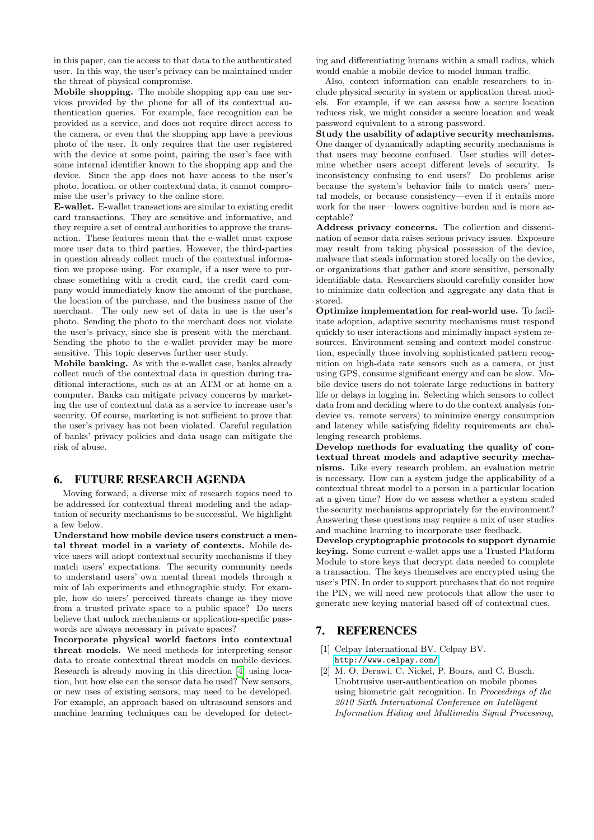in this paper, can tie access to that data to the authenticated user. In this way, the user's privacy can be maintained under the threat of physical compromise.

Mobile shopping. The mobile shopping app can use services provided by the phone for all of its contextual authentication queries. For example, face recognition can be provided as a service, and does not require direct access to the camera, or even that the shopping app have a previous photo of the user. It only requires that the user registered with the device at some point, pairing the user's face with some internal identifier known to the shopping app and the device. Since the app does not have access to the user's photo, location, or other contextual data, it cannot compromise the user's privacy to the online store.

E-wallet. E-wallet transactions are similar to existing credit card transactions. They are sensitive and informative, and they require a set of central authorities to approve the transaction. These features mean that the e-wallet must expose more user data to third parties. However, the third-parties in question already collect much of the contextual information we propose using. For example, if a user were to purchase something with a credit card, the credit card company would immediately know the amount of the purchase, the location of the purchase, and the business name of the merchant. The only new set of data in use is the user's photo. Sending the photo to the merchant does not violate the user's privacy, since she is present with the merchant. Sending the photo to the e-wallet provider may be more sensitive. This topic deserves further user study.

Mobile banking. As with the e-wallet case, banks already collect much of the contextual data in question during traditional interactions, such as at an ATM or at home on a computer. Banks can mitigate privacy concerns by marketing the use of contextual data as a service to increase user's security. Of course, marketing is not sufficient to prove that the user's privacy has not been violated. Careful regulation of banks' privacy policies and data usage can mitigate the risk of abuse.

# 6. FUTURE RESEARCH AGENDA

Moving forward, a diverse mix of research topics need to be addressed for contextual threat modeling and the adaptation of security mechanisms to be successful. We highlight a few below.

Understand how mobile device users construct a mental threat model in a variety of contexts. Mobile device users will adopt contextual security mechanisms if they match users' expectations. The security community needs to understand users' own mental threat models through a mix of lab experiments and ethnographic study. For example, how do users' perceived threats change as they move from a trusted private space to a public space? Do users believe that unlock mechanisms or application-specific passwords are always necessary in private spaces?

Incorporate physical world factors into contextual threat models. We need methods for interpreting sensor data to create contextual threat models on mobile devices. Research is already moving in this direction [\[4\]](#page-5-12) using location, but how else can the sensor data be used? New sensors, or new uses of existing sensors, may need to be developed. For example, an approach based on ultrasound sensors and machine learning techniques can be developed for detecting and differentiating humans within a small radius, which would enable a mobile device to model human traffic.

Also, context information can enable researchers to include physical security in system or application threat models. For example, if we can assess how a secure location reduces risk, we might consider a secure location and weak password equivalent to a strong password.

Study the usability of adaptive security mechanisms. One danger of dynamically adapting security mechanisms is that users may become confused. User studies will determine whether users accept different levels of security. Is inconsistency confusing to end users? Do problems arise because the system's behavior fails to match users' mental models, or because consistency—even if it entails more work for the user—lowers cognitive burden and is more acceptable?

Address privacy concerns. The collection and dissemination of sensor data raises serious privacy issues. Exposure may result from taking physical possession of the device, malware that steals information stored locally on the device, or organizations that gather and store sensitive, personally identifiable data. Researchers should carefully consider how to minimize data collection and aggregate any data that is stored.

Optimize implementation for real-world use. To facilitate adoption, adaptive security mechanisms must respond quickly to user interactions and minimally impact system resources. Environment sensing and context model construction, especially those involving sophisticated pattern recognition on high-data rate sensors such as a camera, or just using GPS, consume significant energy and can be slow. Mobile device users do not tolerate large reductions in battery life or delays in logging in. Selecting which sensors to collect data from and deciding where to do the context analysis (ondevice vs. remote servers) to minimize energy consumption and latency while satisfying fidelity requirements are challenging research problems.

Develop methods for evaluating the quality of contextual threat models and adaptive security mechanisms. Like every research problem, an evaluation metric is necessary. How can a system judge the applicability of a contextual threat model to a person in a particular location at a given time? How do we assess whether a system scaled the security mechanisms appropriately for the environment? Answering these questions may require a mix of user studies and machine learning to incorporate user feedback.

Develop cryptographic protocols to support dynamic keying. Some current e-wallet apps use a Trusted Platform Module to store keys that decrypt data needed to complete a transaction. The keys themselves are encrypted using the user's PIN. In order to support purchases that do not require the PIN, we will need new protocols that allow the user to generate new keying material based off of contextual cues.

# 7. REFERENCES

- <span id="page-4-1"></span>[1] Celpay International BV. Celpay BV. <http://www.celpay.com/>.
- <span id="page-4-0"></span>[2] M. O. Derawi, C. Nickel, P. Bours, and C. Busch. Unobtrusive user-authentication on mobile phones using biometric gait recognition. In Proceedings of the 2010 Sixth International Conference on Intelligent Information Hiding and Multimedia Signal Processing,